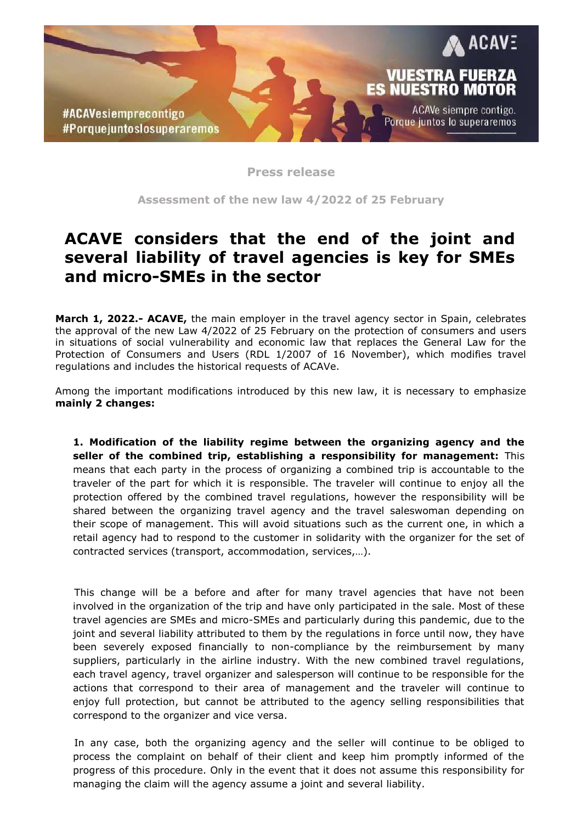

**Press release**

**Assessment of the new law 4/2022 of 25 February**

## **ACAVE considers that the end of the joint and several liability of travel agencies is key for SMEs and micro-SMEs in the sector**

**March 1, 2022.- ACAVE,** the main employer in the travel agency sector in Spain, celebrates the approval of the new Law 4/2022 of 25 February on the protection of consumers and users in situations of social vulnerability and economic law that replaces the General Law for the Protection of Consumers and Users (RDL 1/2007 of 16 November), which modifies travel regulations and includes the historical requests of ACAVe.

Among the important modifications introduced by this new law, it is necessary to emphasize **mainly 2 changes:**

**1. Modification of the liability regime between the organizing agency and the seller of the combined trip, establishing a responsibility for management:** This means that each party in the process of organizing a combined trip is accountable to the traveler of the part for which it is responsible. The traveler will continue to enjoy all the protection offered by the combined travel regulations, however the responsibility will be shared between the organizing travel agency and the travel saleswoman depending on their scope of management. This will avoid situations such as the current one, in which a retail agency had to respond to the customer in solidarity with the organizer for the set of contracted services (transport, accommodation, services,…).

This change will be a before and after for many travel agencies that have not been involved in the organization of the trip and have only participated in the sale. Most of these travel agencies are SMEs and micro-SMEs and particularly during this pandemic, due to the joint and several liability attributed to them by the regulations in force until now, they have been severely exposed financially to non-compliance by the reimbursement by many suppliers, particularly in the airline industry. With the new combined travel regulations, each travel agency, travel organizer and salesperson will continue to be responsible for the actions that correspond to their area of management and the traveler will continue to enjoy full protection, but cannot be attributed to the agency selling responsibilities that correspond to the organizer and vice versa.

In any case, both the organizing agency and the seller will continue to be obliged to process the complaint on behalf of their client and keep him promptly informed of the progress of this procedure. Only in the event that it does not assume this responsibility for managing the claim will the agency assume a joint and several liability.